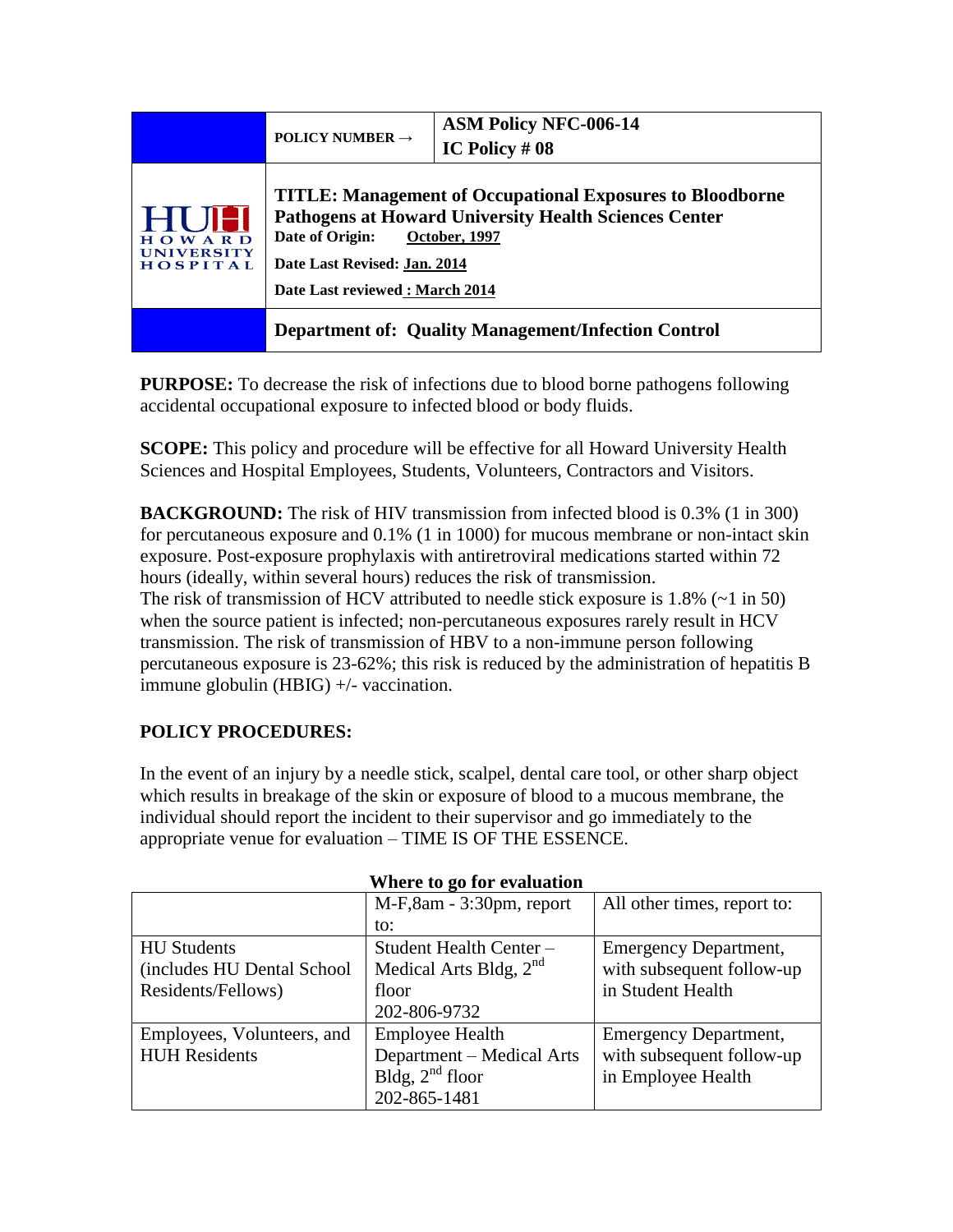|                                        | POLICY NUMBER $\rightarrow$                                                                                                                                                                                                            | <b>ASM Policy NFC-006-14</b><br>IC Policy $#08$ |
|----------------------------------------|----------------------------------------------------------------------------------------------------------------------------------------------------------------------------------------------------------------------------------------|-------------------------------------------------|
| OWARD<br><b>UNIVERSITY</b><br>HOSPITAL | <b>TITLE: Management of Occupational Exposures to Bloodborne</b><br><b>Pathogens at Howard University Health Sciences Center</b><br>Date of Origin:<br>October, 1997<br>Date Last Revised: Jan. 2014<br>Date Last reviewed: March 2014 |                                                 |
|                                        | <b>Department of: Quality Management/Infection Control</b>                                                                                                                                                                             |                                                 |

**PURPOSE:** To decrease the risk of infections due to blood borne pathogens following accidental occupational exposure to infected blood or body fluids.

**SCOPE:** This policy and procedure will be effective for all Howard University Health Sciences and Hospital Employees, Students, Volunteers, Contractors and Visitors.

**BACKGROUND:** The risk of HIV transmission from infected blood is 0.3% (1 in 300) for percutaneous exposure and 0.1% (1 in 1000) for mucous membrane or non-intact skin exposure. Post-exposure prophylaxis with antiretroviral medications started within 72 hours (ideally, within several hours) reduces the risk of transmission. The risk of transmission of HCV attributed to needle stick exposure is  $1.8\%$  ( $\sim$ 1 in 50) when the source patient is infected; non-percutaneous exposures rarely result in HCV transmission. The risk of transmission of HBV to a non-immune person following percutaneous exposure is 23-62%; this risk is reduced by the administration of hepatitis B immune globulin (HBIG) +/- vaccination.

# **POLICY PROCEDURES:**

In the event of an injury by a needle stick, scalpel, dental care tool, or other sharp object which results in breakage of the skin or exposure of blood to a mucous membrane, the individual should report the incident to their supervisor and go immediately to the appropriate venue for evaluation – TIME IS OF THE ESSENCE.

| where to go for evaluation |                           |                              |  |  |
|----------------------------|---------------------------|------------------------------|--|--|
|                            | M-F,8am - 3:30pm, report  | All other times, report to:  |  |  |
|                            | to:                       |                              |  |  |
| <b>HU</b> Students         | Student Health Center -   | <b>Emergency Department,</b> |  |  |
| (includes HU Dental School | Medical Arts Bldg, $2nd$  | with subsequent follow-up    |  |  |
| Residents/Fellows)         | floor                     | in Student Health            |  |  |
|                            | 202-806-9732              |                              |  |  |
| Employees, Volunteers, and | <b>Employee Health</b>    | <b>Emergency Department,</b> |  |  |
| <b>HUH Residents</b>       | Department – Medical Arts | with subsequent follow-up    |  |  |
|                            | Bldg, $2nd$ floor         | in Employee Health           |  |  |
|                            | 202-865-1481              |                              |  |  |

### **Where to go for evaluation**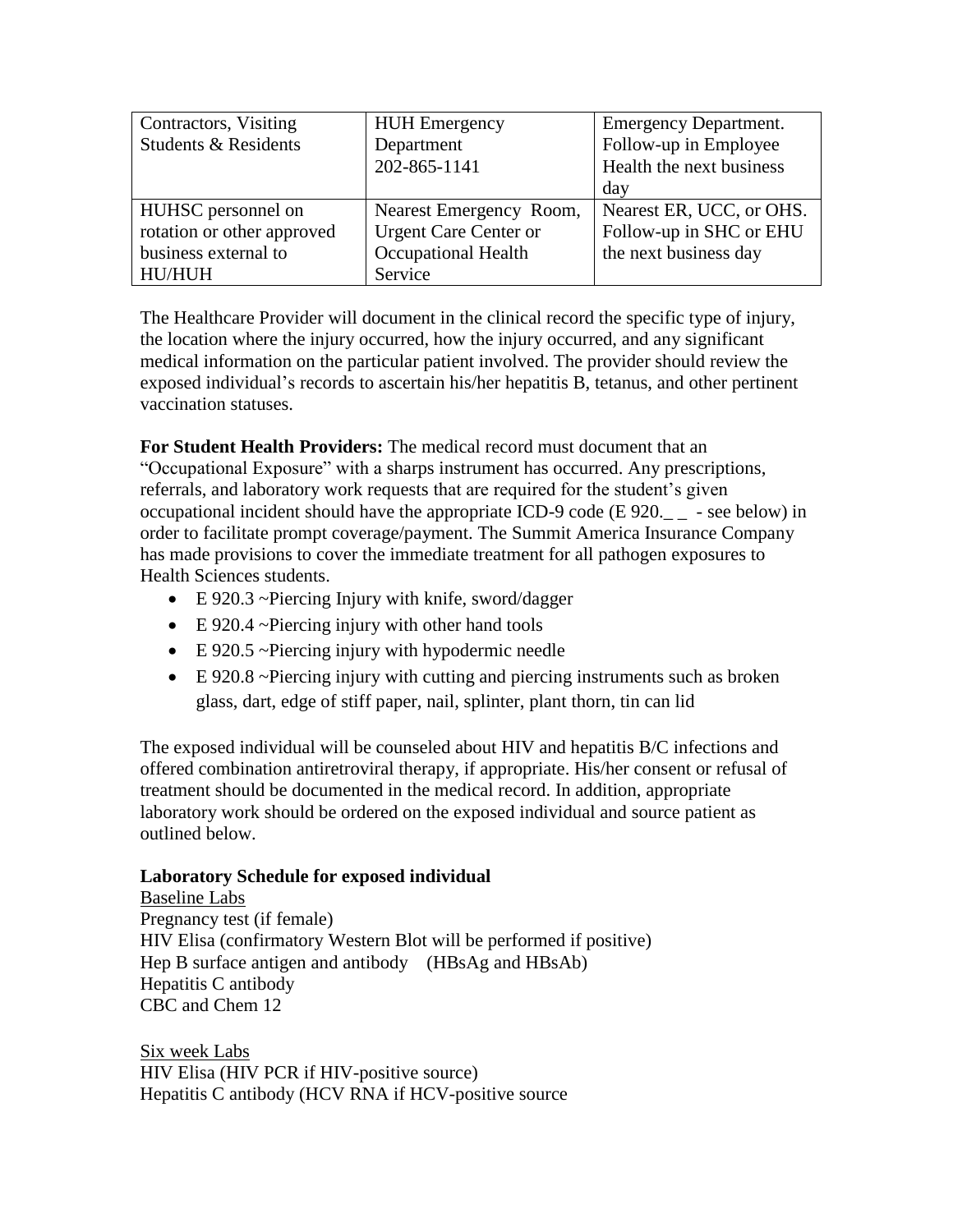| Contractors, Visiting      | <b>HUH</b> Emergency         | <b>Emergency Department.</b> |
|----------------------------|------------------------------|------------------------------|
| Students & Residents       | Department                   | Follow-up in Employee        |
|                            | 202-865-1141                 | Health the next business     |
|                            |                              | day                          |
| HUHSC personnel on         | Nearest Emergency Room,      | Nearest ER, UCC, or OHS.     |
| rotation or other approved | <b>Urgent Care Center or</b> | Follow-up in SHC or EHU      |
| business external to       | <b>Occupational Health</b>   | the next business day        |
| HU/HUH                     | Service                      |                              |

The Healthcare Provider will document in the clinical record the specific type of injury, the location where the injury occurred, how the injury occurred, and any significant medical information on the particular patient involved. The provider should review the exposed individual's records to ascertain his/her hepatitis B, tetanus, and other pertinent vaccination statuses.

**For Student Health Providers:** The medical record must document that an "Occupational Exposure" with a sharps instrument has occurred. Any prescriptions, referrals, and laboratory work requests that are required for the student's given occupational incident should have the appropriate ICD-9 code (E  $920_{--}$  - see below) in order to facilitate prompt coverage/payment. The Summit America Insurance Company has made provisions to cover the immediate treatment for all pathogen exposures to Health Sciences students.

- E 920.3 ~Piercing Injury with knife, sword/dagger
- E 920.4 ~Piercing injury with other hand tools
- E 920.5 ~Piercing injury with hypodermic needle
- E 920.8 ~Piercing injury with cutting and piercing instruments such as broken glass, dart, edge of stiff paper, nail, splinter, plant thorn, tin can lid

The exposed individual will be counseled about HIV and hepatitis B/C infections and offered combination antiretroviral therapy, if appropriate. His/her consent or refusal of treatment should be documented in the medical record. In addition, appropriate laboratory work should be ordered on the exposed individual and source patient as outlined below.

## **Laboratory Schedule for exposed individual**

Baseline Labs Pregnancy test (if female) HIV Elisa (confirmatory Western Blot will be performed if positive) Hep B surface antigen and antibody (HBsAg and HBsAb) Hepatitis C antibody CBC and Chem 12

Six week Labs HIV Elisa (HIV PCR if HIV-positive source) Hepatitis C antibody (HCV RNA if HCV-positive source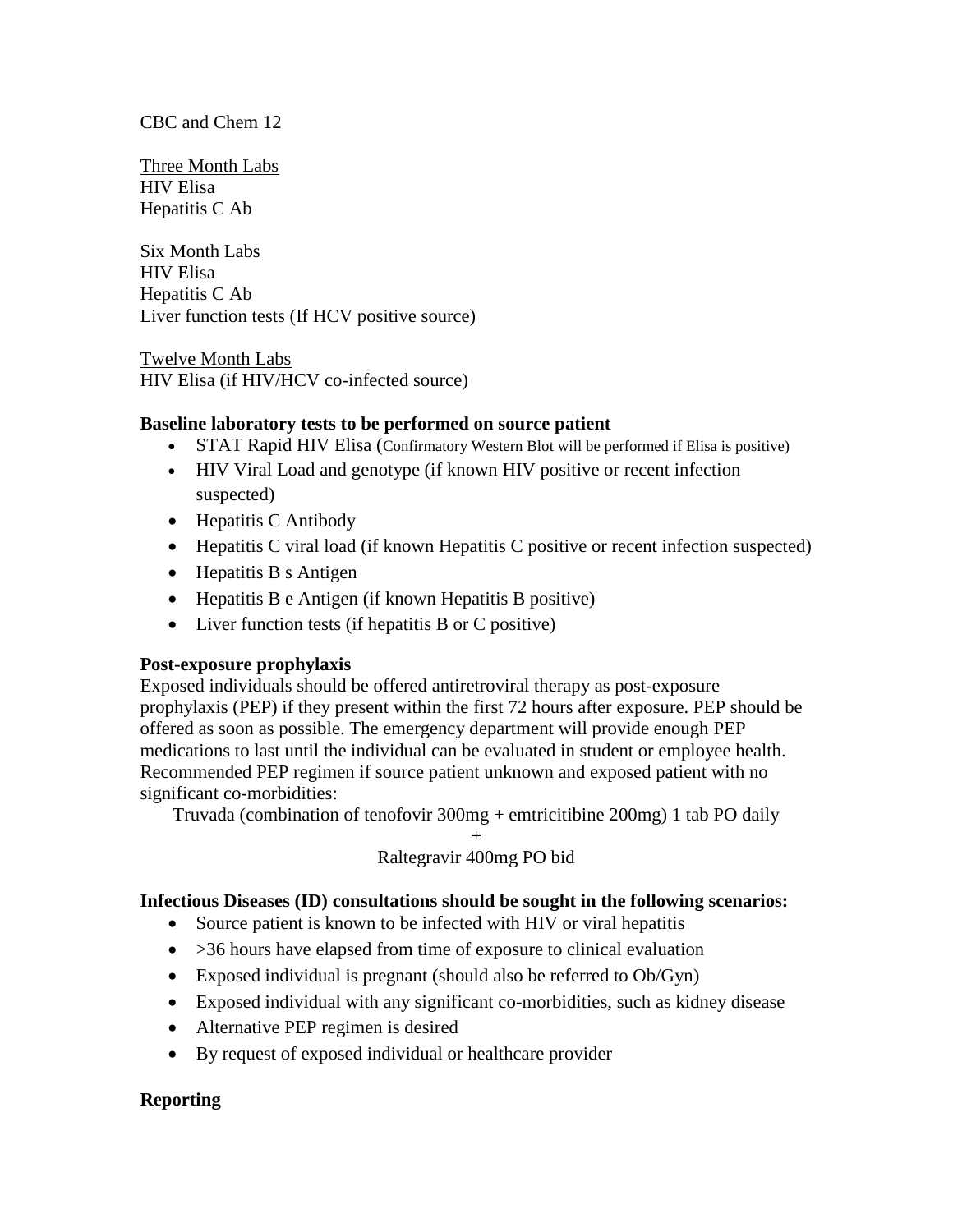### CBC and Chem 12

Three Month Labs HIV Elisa Hepatitis C Ab

Six Month Labs HIV Elisa Hepatitis C Ab Liver function tests (If HCV positive source)

Twelve Month Labs HIV Elisa (if HIV/HCV co-infected source)

### **Baseline laboratory tests to be performed on source patient**

- STAT Rapid HIV Elisa (Confirmatory Western Blot will be performed if Elisa is positive)
- HIV Viral Load and genotype (if known HIV positive or recent infection suspected)
- Hepatitis C Antibody
- Hepatitis C viral load (if known Hepatitis C positive or recent infection suspected)
- Hepatitis B s Antigen
- Hepatitis B e Antigen (if known Hepatitis B positive)
- Liver function tests (if hepatitis B or C positive)

## **Post-exposure prophylaxis**

Exposed individuals should be offered antiretroviral therapy as post-exposure prophylaxis (PEP) if they present within the first 72 hours after exposure. PEP should be offered as soon as possible. The emergency department will provide enough PEP medications to last until the individual can be evaluated in student or employee health. Recommended PEP regimen if source patient unknown and exposed patient with no significant co-morbidities:

Truvada (combination of tenofovir 300mg + emtricitibine 200mg) 1 tab PO daily

#### + Raltegravir 400mg PO bid

### **Infectious Diseases (ID) consultations should be sought in the following scenarios:**

- Source patient is known to be infected with HIV or viral hepatitis
- $\bullet$  >36 hours have elapsed from time of exposure to clinical evaluation
- Exposed individual is pregnant (should also be referred to Ob/Gyn)
- Exposed individual with any significant co-morbidities, such as kidney disease
- Alternative PEP regimen is desired
- By request of exposed individual or healthcare provider

## **Reporting**